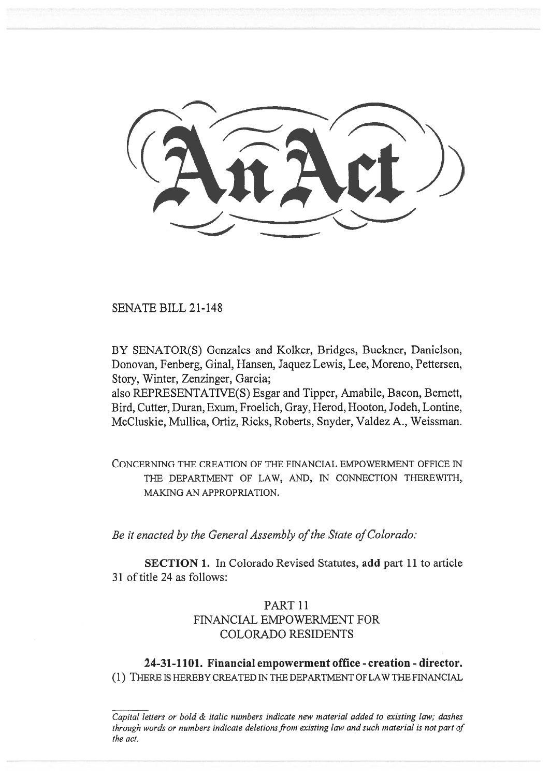SENATE BILL 21-148

BY SENATOR(S) Gonzales and Kolker, Bridges, Buckner, Danielson, Donovan, Fenberg, Ginal, Hansen, Jaquez Lewis, Lee, Moreno, Pettersen, Story, Winter, Zenzinger, Garcia;

also REPRESENTATIVE(S) Esgar and Tipper, Amabile, Bacon, Bernett, Bird, Cutter, Duran, Exum, Froelich, Gray, Herod, Hooton, Jodeh, Lontine, McCluskie, Mullica, Ortiz, Ricks, Roberts, Snyder, Valdez A., Weissman.

CONCERNING THE CREATION OF THE FINANCIAL EMPOWERMENT OFFICE IN THE DEPARTMENT OF LAW, AND, IN CONNECTION THEREWITH, MAKING AN APPROPRIATION.

Be it enacted by the General Assembly of the State of Colorado:

SECTION 1. In Colorado Revised Statutes, add part 11 to article 31 of title 24 as follows:

# PART 11 FINANCIAL EMPOWERMENT FOR COLORADO RESIDENTS

24-31-1101. Financial empowerment office - creation - director. (1) THERE IS HEREBY CREATED IN THE DEPARTMENT OF LAW THE FINANCIAL

Capital letters or bold & italic numbers indicate new material added to existing law; dashes through words or numbers indicate deletions from existing law and such material is not part of the act.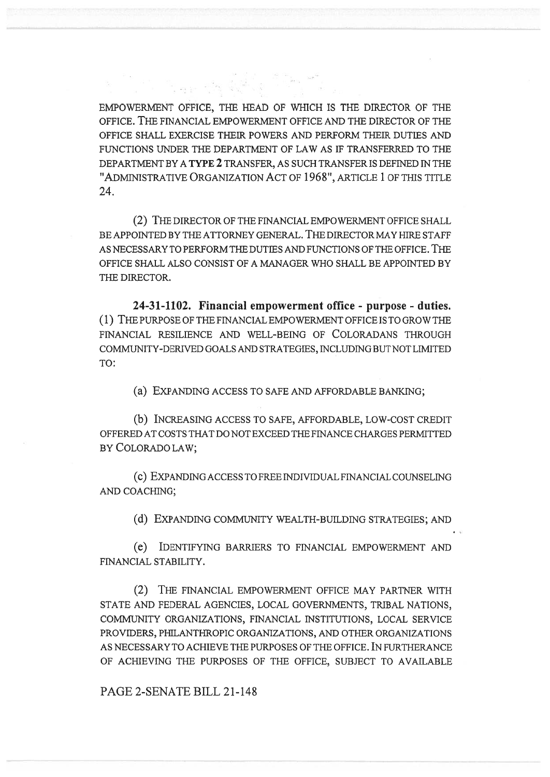EMPOWERMENT OFFICE, THE HEAD OF WHICH IS THE DIRECTOR OF THE OFFICE. THE FINANCIAL EMPOWERMENT OFFICE AND THE DIRECTOR OF THE OFFICE SHALL EXERCISE THEIR POWERS AND PERFORM THEIR DUTIES AND FUNCTIONS UNDER THE DEPARTMENT OF LAW AS IF TRANSFERRED TO THE DEPARTMENT BY A TYPE 2 TRANSFER, AS SUCH TRANSFER IS DEFINED IN THE "ADMINISTRATIVE ORGANIZATION ACT OF 1968", ARTICLE 1 OF THIS TITLE 24.

(2) THE DIRECTOR OF THE FINANCIAL EMPOWERMENT OFFICE SHALL BE APPOINTED BY THE ATTORNEY GENERAL. THE DIRECTOR MAY HIRE STAFF AS NECESSARY TO PERFORM THE DUTIES AND FUNCTIONS OF THE OFFICE. THE OFFICE SHALL ALSO CONSIST OF A MANAGER WHO SHALL BE APPOINTED BY THE DIRECTOR.

24-31-1102. Financial empowerment office - purpose - duties. (1) THE PURPOSE OF THE FINANCIAL EMPOWERMENT OFFICE IS TO GROW THE FINANCIAL RESILIENCE AND WELL-BEING OF COLORADANS THROUGH COMMUNITY-DERIVED GOALS AND STRATEGIES, INCLUDING BUT NOT LIMITED TO:

(a) EXPANDING ACCESS TO SAFE AND AFFORDABLE BANKING;

(b) INCREASING ACCESS TO SAFE, AFFORDABLE, LOW-COST CREDIT OFFERED AT COSTS THAT DO NOT EXCEED THE FINANCE CHARGES PERMITTED BY COLORADO LAW;

(c) EXPANDING ACCESS TO FREE INDIVIDUAL FINANCIAL COUNSELING AND COACHING;

(d) EXPANDING COMMUNITY WEALTH-BUILDING STRATEGIES; AND

(e) IDENTIFYING BARRIERS TO FINANCIAL EMPOWERMENT AND FINANCIAL STABILITY.

(2) THE FINANCIAL EMPOWERMENT OFFICE MAY PARTNER WITH STATE AND FEDERAL AGENCIES, LOCAL GOVERNMENTS, TRIBAL NATIONS, COMMUNITY ORGANIZATIONS, FINANCIAL INSTITUTIONS, LOCAL SERVICE PROVIDERS, PHILANTHROPIC ORGANIZATIONS, AND OTHER ORGANIZATIONS AS NECESSARY TO ACHIEVE THE PURPOSES OF THE OFFICE. IN FURTHERANCE OF ACHIEVING THE PURPOSES OF THE OFFICE, SUBJECT TO AVAILABLE

PAGE 2-SENATE BILL 21-148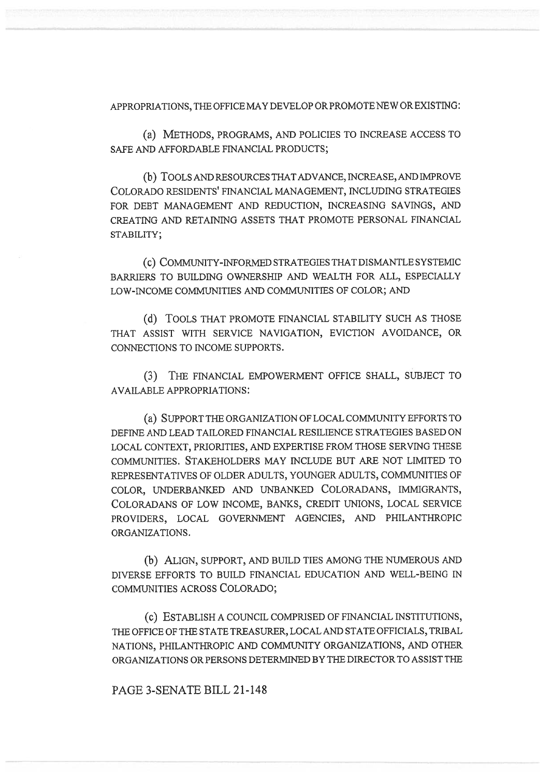APPROPRIATIONS, THE OFFICE MAY DEVELOP OR PROMOTE NEW OR EXISTING:

(a) METHODS, PROGRAMS, AND POLICIES TO INCREASE ACCESS TO SAFE AND AFFORDABLE FINANCIAL PRODUCTS;

(b) TOOLS AND RESOURCES THAT ADVANCE, INCREASE, AND IMPROVE COLORADO RESIDENTS' FINANCIAL MANAGEMENT, INCLUDING STRATEGIES FOR DEBT MANAGEMENT AND REDUCTION, INCREASING SAVINGS, AND CREATING AND RETAINING ASSETS THAT PROMOTE PERSONAL FINANCIAL STABILITY;

(c) COMMUNITY-INFORMED STRATEGIES THAT DISMANTLE SYSTEMIC BARRIERS TO BUILDING OWNERSHIP AND WEALTH FOR ALL, ESPECIALLY LOW-INCOME COMMUNITIES AND COMMUNITIES OF COLOR; AND

(d) TOOLS THAT PROMOTE FINANCIAL STABILITY SUCH AS THOSE THAT ASSIST WITH SERVICE NAVIGATION, EVICTION AVOIDANCE, OR CONNECTIONS TO INCOME SUPPORTS.

(3) THE FINANCIAL EMPOWERMENT OFFICE SHALL, SUBJECT TO AVAILABLE APPROPRIATIONS:

(a) SUPPORT THE ORGANIZATION OF LOCAL COMMUNITY EFFORTS TO DEFINE AND LEAD TAILORED FINANCIAL RESILIENCE STRATEGIES BASED ON LOCAL CONTEXT, PRIORITIES, AND EXPERTISE FROM THOSE SERVING THESE COMMUNITIES. STAKEHOLDERS MAY INCLUDE BUT ARE NOT LIMITED TO REPRESENTATIVES OF OLDER ADULTS, YOUNGER ADULTS, COMMUNITIES OF COLOR, UNDERBANKED AND UNBANKED COLORADANS, IMMIGRANTS, COLORADANS OF LOW INCOME, BANKS, CREDIT UNIONS, LOCAL SERVICE PROVIDERS, LOCAL GOVERNMENT AGENCIES, AND PHILANTHROPIC ORGANIZATIONS.

(b) ALIGN, SUPPORT, AND BUILD TIES AMONG THE NUMEROUS AND DIVERSE EFFORTS TO BUILD FINANCIAL EDUCATION AND WELL-BEING IN COMMUNITIES ACROSS COLORADO;

(c) ESTABLISH A COUNCIL COMPRISED OF FINANCIAL INSTITUTIONS, THE OFFICE OF THE STATE TREASURER, LOCAL AND STATE OFFICIALS, TRIBAL NATIONS, PHILANTHROPIC AND COMMUNITY ORGANIZATIONS, AND OTHER ORGANIZATIONS OR PERSONS DETERMINED BY THE DIRECTOR TO ASSIST THE

PAGE 3-SENATE BILL 21-148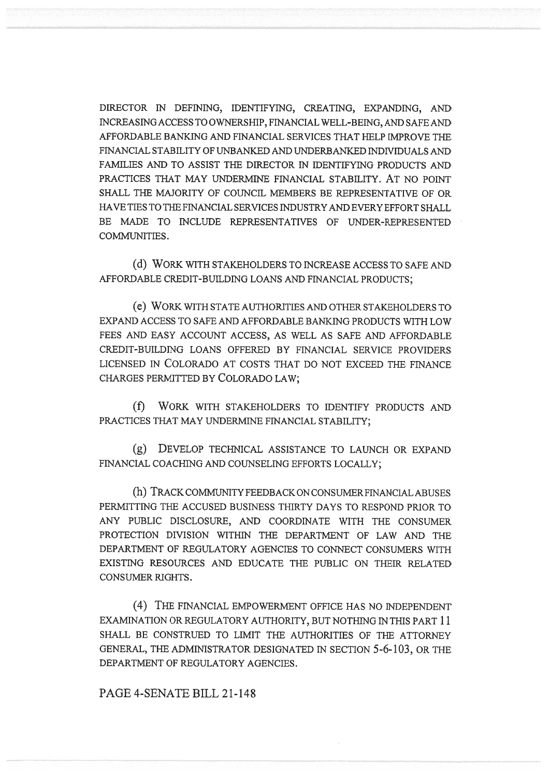DIRECTOR IN DEFINING, IDENTIFYING, CREATING, EXPANDING, AND INCREASING ACCESS TO OWNERSHIP, FINANCIAL WELL-BEING, AND SAFE AND AFFORDABLE BANKING AND FINANCIAL SERVICES THAT HELP IMPROVE THE FINANCIAL STABILITY OF UNBANKED AND UNDERBANKED INDIVIDUALS AND FAMILIES AND TO ASSIST THE DIRECTOR IN IDENTIFYING PRODUCTS AND PRACTICES THAT MAY UNDERMINE FINANCIAL STABILITY. AT NO POINT SHALL THE MAJORITY OF COUNCIL MEMBERS BE REPRESENTATIVE OF OR HAVE TIES TO THE FINANCIAL SERVICES INDUSTRY AND EVERY EFFORT SHALL BE MADE TO INCLUDE REPRESENTATIVES OF UNDER-REPRESENTED COMMUNITIES.

(d) WORK WITH STAKEHOLDERS TO INCREASE ACCESS TO SAFE AND AFFORDABLE CREDIT-BUILDING LOANS AND FINANCIAL PRODUCTS;

(e) WORK WITH STATE AUTHORITIES AND OTHER STAKEHOLDERS TO EXPAND ACCESS TO SAFE AND AFFORDABLE BANKING PRODUCTS WITH LOW FEES AND EASY ACCOUNT ACCESS, AS WELL AS SAFE AND AFFORDABLE CREDIT-BUILDING LOANS OFFERED BY FINANCIAL SERVICE PROVIDERS LICENSED IN COLORADO AT COSTS THAT DO NOT EXCEED THE FINANCE CHARGES PERMITTED BY COLORADO LAW;

(f) WORK WITH STAKEHOLDERS TO IDENTIFY PRODUCTS AND PRACTICES THAT MAY UNDERMINE FINANCIAL STABILITY;

(g) DEVELOP TECHNICAL ASSISTANCE TO LAUNCH OR EXPAND FINANCIAL COACHING AND COUNSELING EFFORTS LOCALLY;

(h) TRACK COMMUNITY FEEDBACK ON CONSUMER FINANCIAL ABUSES PERMITTING THE ACCUSED BUSINESS THIRTY DAYS TO RESPOND PRIOR TO ANY PUBLIC DISCLOSURE, AND COORDINATE WITH THE CONSUMER PROTECTION DIVISION WITHIN THE DEPARTMENT OF LAW AND THE DEPARTMENT OF REGULATORY AGENCIES TO CONNECT CONSUMERS WITH EXISTING RESOURCES AND EDUCATE THE PUBLIC ON THEIR RELATED CONSUMER RIGHTS.

(4) THE FINANCIAL EMPOWERMENT OFFICE HAS NO INDEPENDENT EXAMINATION OR REGULATORY AUTHORITY, BUT NOTHING IN THIS PART 11 SHALL BE CONSTRUED TO LIMIT THE AUTHORITIES OF THE ATTORNEY GENERAL, THE ADMINISTRATOR DESIGNATED IN SECTION 5-6-103, OR THE DEPARTMENT OF REGULATORY AGENCIES.

### PAGE 4-SENATE BILL 21-148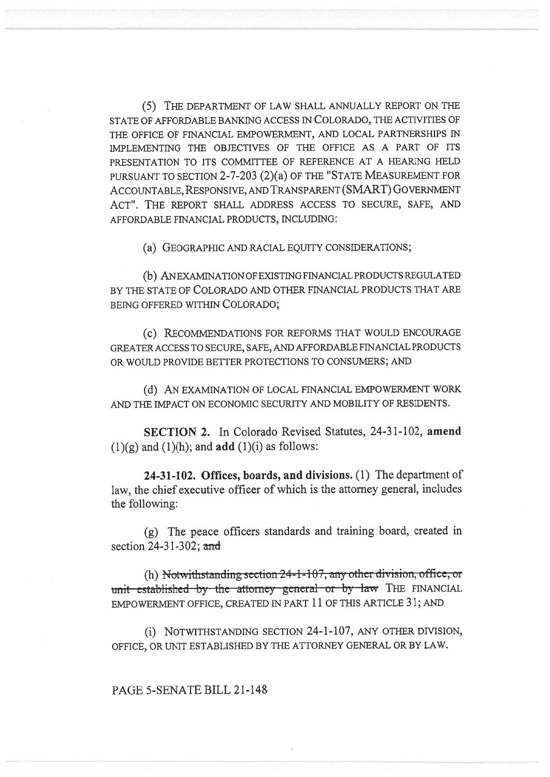(5) THE DEPARTMENT OF LAW SHALL ANNUALLY REPORT ON THE STATE OF AFFORDABLE BANKING ACCESS IN COLORADO, THE ACTIVITIES OF THE OFFICE OF FINANCIAL EMPOWERMENT, AND LOCAL PARTNERSHIPS IN IMPLEMENTING THE OBJECTIVES OF THE OFFICE AS A PART OF ITS PRESENTATION TO ITS COMMITTEE OF REFERENCE AT A HEARING HELD PURSUANT TO SECTION 2-7-203 (2)(a) OF THE "STATE MEASUREMENT FOR ACCOUNTABLE, RESPONSIVE, AND TRANSPARENT (SMART) GOVERNMENT ACT". THE REPORT SHALL ADDRESS ACCESS TO SECURE, SAFE, AND AFFORDABLE FINANCIAL PRODUCTS, INCLUDING:

(a) GEOGRAPHIC AND RACIAL EQUITY CONSIDERATIONS;

(b) AN EXAMINATION OF EXISTING FINANCIAL PRODUCTS REGULATED BY THE STATE OF COLORADO AND OTHER FINANCIAL PRODUCTS THAT ARE BEING OFFERED WITHIN COLORADO;

(c) RECOMMENDATIONS FOR REFORMS THAT WOULD ENCOURAGE GREATER ACCESS TO SECURE, SAFE, AND AFFORDABLE FINANCIAL PRODUCTS OR WOULD PROVIDE BETTER PROTECTIONS TO CONSUMERS; AND

(d) AN EXAMINATION OF LOCAL FINANCIAL EMPOWERMENT WORK AND THE IMPACT ON ECONOMIC SECURITY AND MOBILITY OF RESIDENTS.

SECTION 2. In Colorado Revised Statutes, 24-31-102, amend  $(1)(g)$  and  $(1)(h)$ ; and **add**  $(1)(i)$  as follows:

24-31-102. Offices, boards, and divisions. (1) The department of law, the chief executive officer of which is the attorney general, includes the following:

(g) The peace officers standards and training board, created in section 24-31-302; and

(h) Notwithstanding section  $24-1-107$ , any other division, office, or unit established by the attorney general or by law THE FINANCIAL EMPOWERMENT OFFICE, CREATED IN PART 11 OF THIS ARTICLE 31; AND

(i) NOTWITHSTANDING SECTION 24-1-107, ANY OTHER DIVISION, OFFICE, OR UNIT ESTABLISHED BY THE ATTORNEY GENERAL OR BY LAW.

#### PAGE 5-SENATE BILL 21-148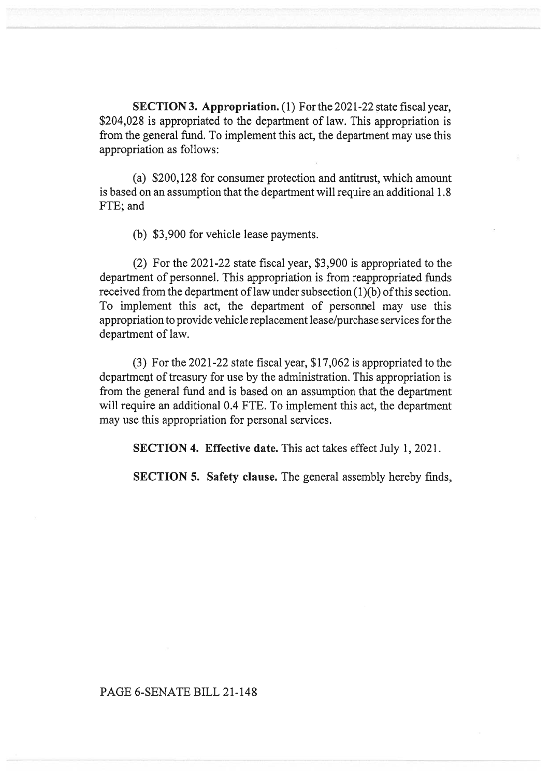SECTION 3. Appropriation. (1) For the 2021-22 state fiscal year, \$204,028 is appropriated to the department of law. This appropriation is from the general fund. To implement this act, the department may use this appropriation as follows:

(a) \$200,128 for consumer protection and antitrust, which amount is based on an assumption that the department will require an additional 1.8 FTE; and

(b) \$3,900 for vehicle lease payments.

(2) For the 2021-22 state fiscal year, \$3,900 is appropriated to the department of personnel. This appropriation is from reappropriated funds received from the department of law under subsection (1)(b) of this section. To implement this act, the department of personnel may use this appropriation to provide vehicle replacement lease/purchase services for the department of law.

(3) For the 2021-22 state fiscal year, \$17,062 is appropriated to the department of treasury for use by the administration. This appropriation is from the general fund and is based on an assumption that the department will require an additional 0.4 FTE. To implement this act, the department may use this appropriation for personal services.

SECTION 4. Effective date. This act takes effect July 1, 2021.

SECTION 5. Safety clause. The general assembly hereby finds,

# PAGE 6-SENATE BILL 21-148